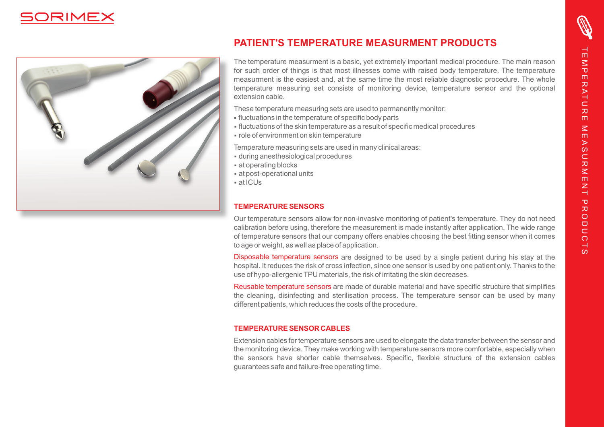



### **PATIENT'S TEMPERATURE MEASURMENT PRODUCTS**

The temperature measurment is a basic, yet extremely important medical procedure. The main reason for such order of things is that most illnesses come with raised body temperature. The temperature measurment is the easiest and, at the same time the most reliable diagnostic procedure. The whole temperature measuring set consists of monitoring device, temperature sensor and the optional extension cable.

These temperature measuring sets are used to permanently monitor:

- fluctuations in the temperature of specific body parts
- §fluctuations of the skin temperature as a result of specific medical procedures
- role of environment on skin temperature

Temperature measuring sets are used in many clinical areas:

- during anesthesiological procedures
- at operating blocks
- at post-operational units
- §at ICUs

### **TEMPERATURE SENSORS**

Our temperature sensors allow for non-invasive monitoring of patient's temperature. They do not need calibration before using, therefore the measurement is made instantly after application. The wide range of temperature sensors that our company offers enables choosing the best fitting sensor when it comes to age or weight, as well as place of application.

Disposable temperature sensors are designed to be used by a single patient during his stay at the hospital. It reduces the risk of cross infection, since one sensor is used by one patient only. Thanks to the use of hypo-allergenic TPU materials, the risk of irritating the skin decreases.

Reusable temperature sensors are made of durable material and have specific structure that simplifies the cleaning, disinfecting and sterilisation process. The temperature sensor can be used by many different patients, which reduces the costs of the procedure.

#### **TEMPERATURE SENSOR CABLES**

Extension cables for temperature sensors are used to elongate the data transfer between the sensor and the monitoring device. They make working with temperature sensors more comfortable, especially when the sensors have shorter cable themselves. Specific, flexible structure of the extension cables guarantees safe and failure-free operating time.